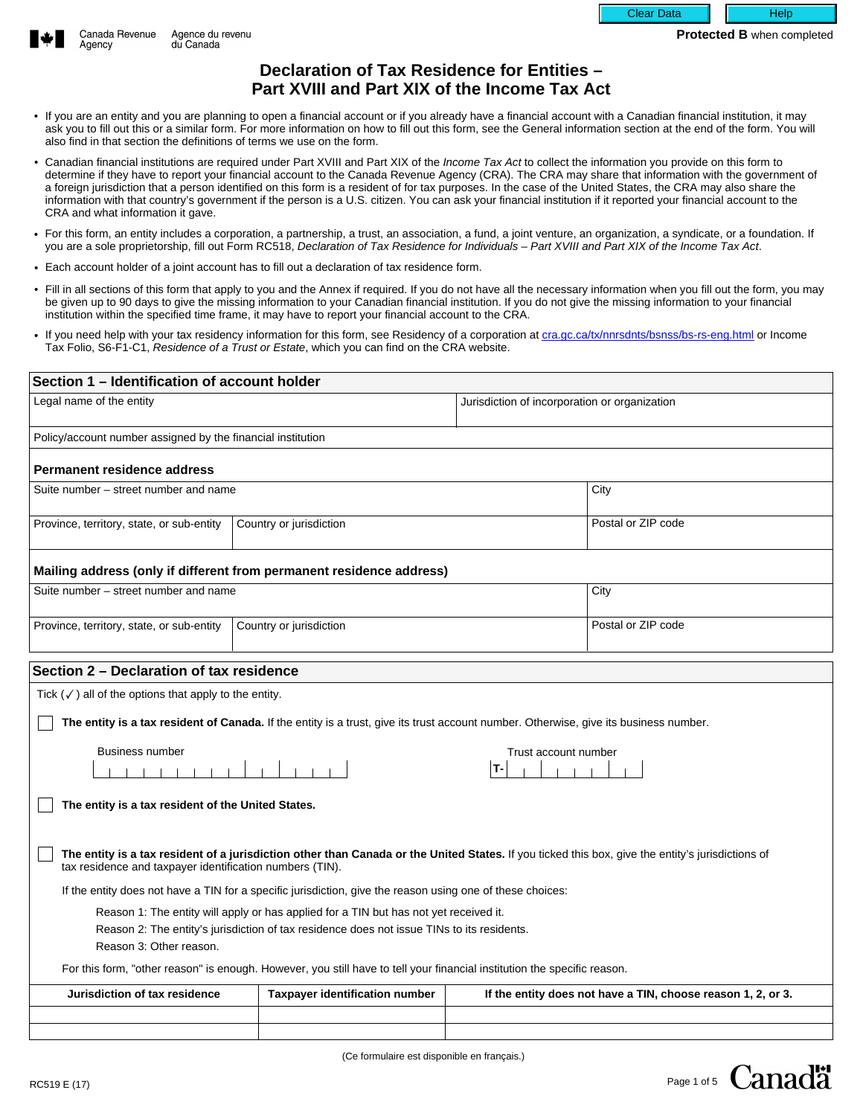



# **Declaration of Tax Residence for Entities – Part XVIII and Part XIX of the Income Tax Act**

- If you are an entity and you are planning to open a financial account or if you already have a financial account with a Canadian financial institution, it may ask you to fill out this or a similar form. For more information on how to fill out this form, see the General information section at the end of the form. You will also find in that section the definitions of terms we use on the form.
- Canadian financial institutions are required under Part XVIII and Part XIX of the Income Tax Act to collect the information you provide on this form to determine if they have to report your financial account to the Canada Revenue Agency (CRA). The CRA may share that information with the government of a foreign jurisdiction that a person identified on this form is a resident of for tax purposes. In the case of the United States, the CRA may also share the information with that country's government if the person is a U.S. citizen. You can ask your financial institution if it reported your financial account to the CRA and what information it gave.
- For this form, an entity includes a corporation, a partnership, a trust, an association, a fund, a joint venture, an organization, a syndicate, or a foundation. If you are a sole proprietorship, fill out Form RC518, Declaration of Tax Residence for Individuals – Part XVIII and Part XIX of the Income Tax Act.
- Each account holder of a joint account has to fill out a declaration of tax residence form.
- Fill in all sections of this form that apply to you and the Annex if required. If you do not have all the necessary information when you fill out the form, you may be given up to 90 days to give the missing information to your Canadian financial institution. If you do not give the missing information to your financial institution within the specified time frame, it may have to report your financial account to the CRA.
- If you need help with your tax residency information for this form, see Residency of a corporation at [cra.gc.ca/tx/nnrsdnts/bsnss/bs-rs-eng.html](http://www.cra.gc.ca/tx/nnrsdnts/bsnss/bs-rs-eng.html) or Income Tax Folio, S6-F1-C1, Residence of a Trust or Estate, which you can find on the CRA website.

| Section 1 - Identification of account holder                                                                                                                                                                  |                                                                                                                                                                                     |                                               |                                                              |                          |
|---------------------------------------------------------------------------------------------------------------------------------------------------------------------------------------------------------------|-------------------------------------------------------------------------------------------------------------------------------------------------------------------------------------|-----------------------------------------------|--------------------------------------------------------------|--------------------------|
| Legal name of the entity                                                                                                                                                                                      |                                                                                                                                                                                     | Jurisdiction of incorporation or organization |                                                              |                          |
| Policy/account number assigned by the financial institution                                                                                                                                                   |                                                                                                                                                                                     |                                               |                                                              |                          |
| <b>Permanent residence address</b>                                                                                                                                                                            |                                                                                                                                                                                     |                                               |                                                              |                          |
| Suite number - street number and name                                                                                                                                                                         |                                                                                                                                                                                     |                                               | City                                                         |                          |
| Province, territory, state, or sub-entity<br>$\blacktriangleright$                                                                                                                                            | Country or jurisdiction                                                                                                                                                             | $\blacktriangleright$                         | Postal or ZIP code                                           |                          |
| Mailing address (only if different from permanent residence address)                                                                                                                                          |                                                                                                                                                                                     |                                               |                                                              |                          |
| Suite number – street number and name                                                                                                                                                                         |                                                                                                                                                                                     |                                               | City                                                         |                          |
| Province, territory, state, or sub-entity<br>$\blacktriangleright$                                                                                                                                            | Country or jurisdiction                                                                                                                                                             | $\overline{\phantom{a}}$                      | Postal or ZIP code                                           |                          |
| Section 2 - Declaration of tax residence                                                                                                                                                                      |                                                                                                                                                                                     |                                               |                                                              |                          |
| Tick $(\checkmark)$ all of the options that apply to the entity.                                                                                                                                              |                                                                                                                                                                                     |                                               |                                                              |                          |
| The entity is a tax resident of Canada. If the entity is a trust, give its trust account number. Otherwise, give its business number.                                                                         |                                                                                                                                                                                     |                                               |                                                              |                          |
| <b>Business number</b>                                                                                                                                                                                        |                                                                                                                                                                                     | Trust account number                          |                                                              |                          |
|                                                                                                                                                                                                               | █▏▏▏                                                                                                                                                                                | IT-                                           |                                                              |                          |
| The entity is a tax resident of the United States.                                                                                                                                                            |                                                                                                                                                                                     |                                               |                                                              |                          |
|                                                                                                                                                                                                               |                                                                                                                                                                                     |                                               |                                                              |                          |
| The entity is a tax resident of a jurisdiction other than Canada or the United States. If you ticked this box, give the entity's jurisdictions of<br>tax residence and taxpayer identification numbers (TIN). |                                                                                                                                                                                     |                                               |                                                              |                          |
| If the entity does not have a TIN for a specific jurisdiction, give the reason using one of these choices:                                                                                                    |                                                                                                                                                                                     |                                               |                                                              |                          |
| Reason 3: Other reason.                                                                                                                                                                                       | Reason 1: The entity will apply or has applied for a TIN but has not yet received it.<br>Reason 2: The entity's jurisdiction of tax residence does not issue TINs to its residents. |                                               |                                                              |                          |
| For this form, "other reason" is enough. However, you still have to tell your financial institution the specific reason.                                                                                      |                                                                                                                                                                                     |                                               |                                                              |                          |
| Jurisdiction of tax residence                                                                                                                                                                                 | <b>Taxpayer identification number</b>                                                                                                                                               |                                               | If the entity does not have a TIN, choose reason 1, 2, or 3. |                          |
| $\blacktriangleright$                                                                                                                                                                                         |                                                                                                                                                                                     |                                               |                                                              | $\blacktriangledown$     |
| $\blacktriangledown$                                                                                                                                                                                          |                                                                                                                                                                                     |                                               |                                                              | $\overline{\phantom{0}}$ |

(Ce formulaire est disponible en français.)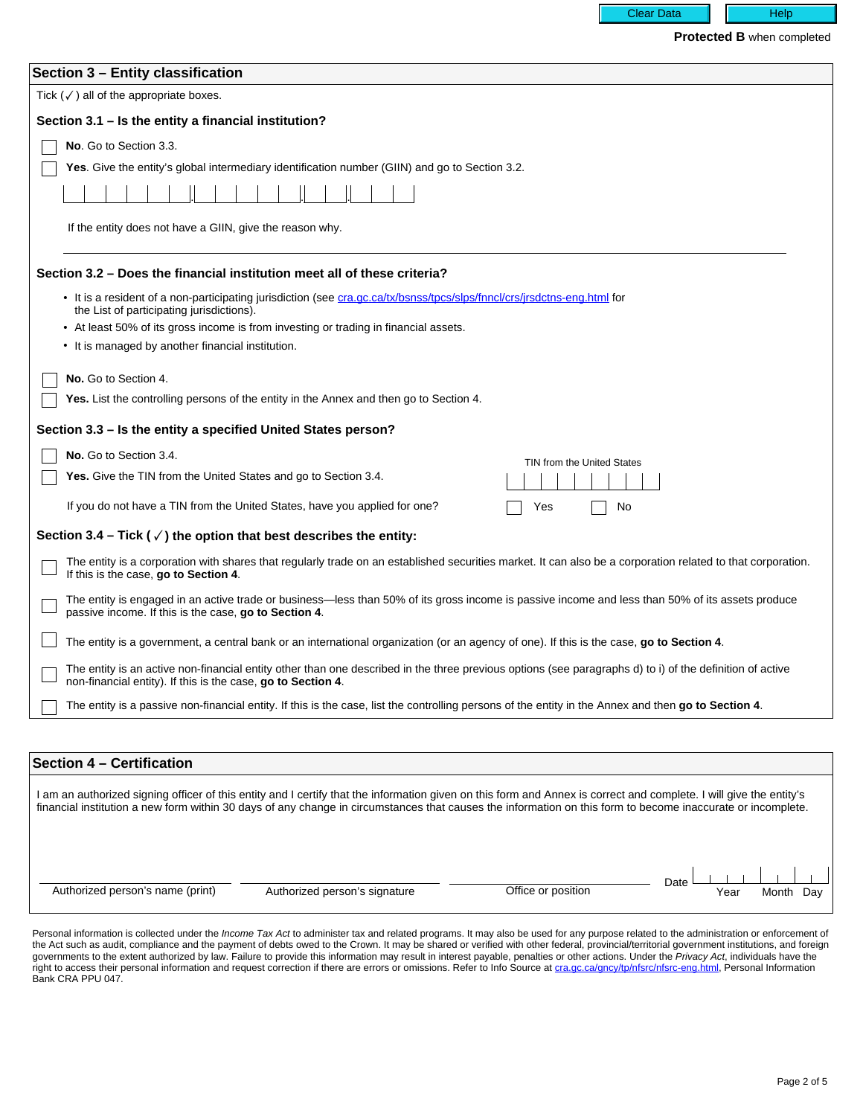**Protected B** when completed

**Clear Data** 

| Section 3 - Entity classification                                                                                                                                                                                        |
|--------------------------------------------------------------------------------------------------------------------------------------------------------------------------------------------------------------------------|
|                                                                                                                                                                                                                          |
| Tick $(\checkmark)$ all of the appropriate boxes.                                                                                                                                                                        |
| Section 3.1 – Is the entity a financial institution?                                                                                                                                                                     |
| No. Go to Section 3.3.                                                                                                                                                                                                   |
| <b>Yes.</b> Give the entity's global intermediary identification number (GIIN) and go to Section 3.2.                                                                                                                    |
|                                                                                                                                                                                                                          |
|                                                                                                                                                                                                                          |
| If the entity does not have a GIIN, give the reason why.                                                                                                                                                                 |
|                                                                                                                                                                                                                          |
| Section 3.2 – Does the financial institution meet all of these criteria?                                                                                                                                                 |
| • It is a resident of a non-participating jurisdiction (see cra.gc.ca/tx/bsnss/tpcs/slps/fnncl/crs/jrsdctns-eng.html for<br>the List of participating jurisdictions).                                                    |
| • At least 50% of its gross income is from investing or trading in financial assets.                                                                                                                                     |
| • It is managed by another financial institution.                                                                                                                                                                        |
| No. Go to Section 4.                                                                                                                                                                                                     |
| <b>Yes.</b> List the controlling persons of the entity in the Annex and then go to Section 4.                                                                                                                            |
|                                                                                                                                                                                                                          |
| Section 3.3 – Is the entity a specified United States person?                                                                                                                                                            |
| No. Go to Section 3.4.<br>TIN from the United States                                                                                                                                                                     |
| <b>Yes.</b> Give the TIN from the United States and go to Section 3.4.                                                                                                                                                   |
| If you do not have a TIN from the United States, have you applied for one?<br>Yes<br>No                                                                                                                                  |
| Section 3.4 – Tick ( $\checkmark$ ) the option that best describes the entity:                                                                                                                                           |
|                                                                                                                                                                                                                          |
| The entity is a corporation with shares that regularly trade on an established securities market. It can also be a corporation related to that corporation.<br>If this is the case, go to Section 4.                     |
| The entity is engaged in an active trade or business—less than 50% of its gross income is passive income and less than 50% of its assets produce<br>passive income. If this is the case, go to Section 4.                |
| The entity is a government, a central bank or an international organization (or an agency of one). If this is the case, go to Section 4.                                                                                 |
| The entity is an active non-financial entity other than one described in the three previous options (see paragraphs d) to i) of the definition of active<br>non-financial entity). If this is the case, go to Section 4. |
| The entity is a passive non-financial entity. If this is the case, list the controlling persons of the entity in the Annex and then go to Section 4.                                                                     |
|                                                                                                                                                                                                                          |
|                                                                                                                                                                                                                          |
| Section 4 - Certification                                                                                                                                                                                                |

I am an authorized signing officer of this entity and I certify that the information given on this form and Annex is correct and complete. I will give the entity's financial institution a new form within 30 days of any change in circumstances that causes the information on this form to become inaccurate or incomplete.

Authorized person's name (print) Authorized person's signature Coffice or position Date Year Month Day

Personal information is collected under the Income Tax Act to administer tax and related programs. It may also be used for any purpose related to the administration or enforcement of the Act such as audit, compliance and the payment of debts owed to the Crown. It may be shared or verified with other federal, provincial/territorial government institutions, and foreign governments to the extent authorized by law. Failure to provide this information may result in interest payable, penalties or other actions. Under the Privacy Act, individuals have the right to access their personal information and request correction if there are errors or omissions. Refer to Info Source at [cra.gc.ca/gncy/tp/nfsrc/nfsrc-eng.html](http://www.cra.gc.ca/gncy/tp/nfsrc/nfsrc-eng.html), Personal Information Bank CRA PPU 047.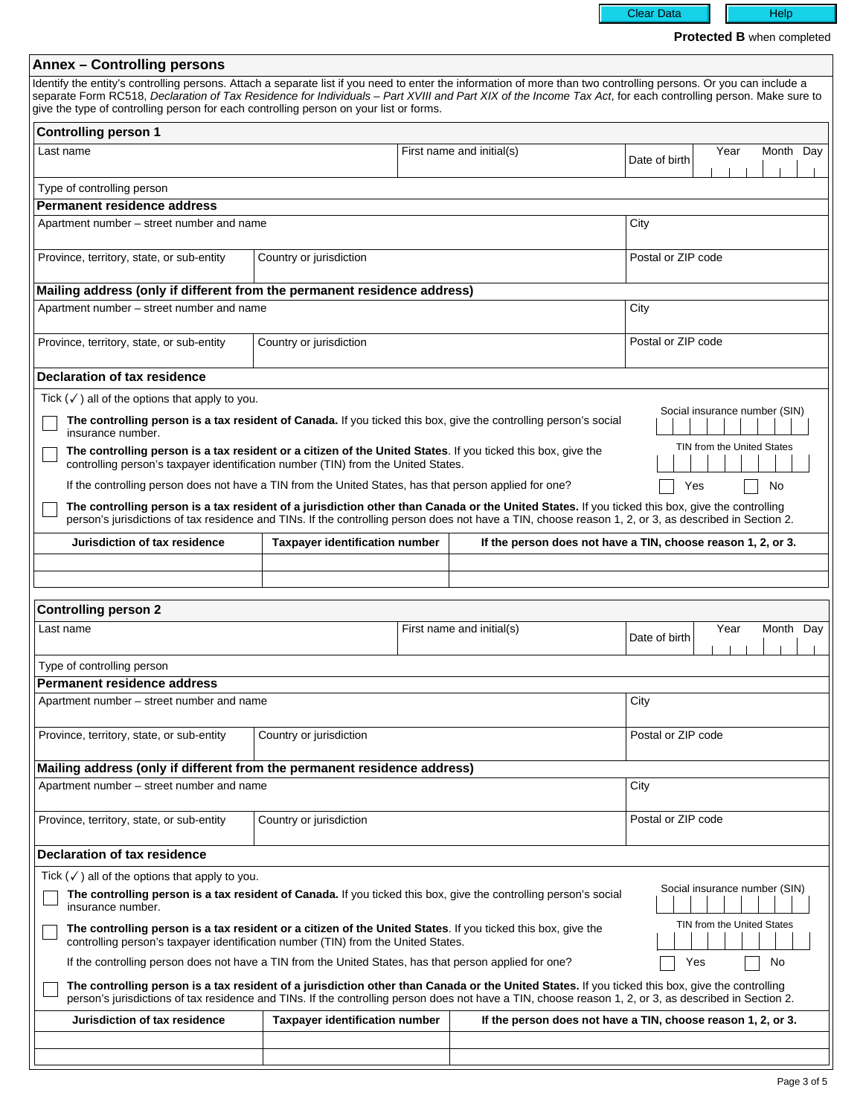Clear Data | Help

**Protected B** when completed

| <b>Annex - Controlling persons</b>                                                                                                                                                                                                                                                                       |                                       |  |                                                              |                               |                            |                               |                          |
|----------------------------------------------------------------------------------------------------------------------------------------------------------------------------------------------------------------------------------------------------------------------------------------------------------|---------------------------------------|--|--------------------------------------------------------------|-------------------------------|----------------------------|-------------------------------|--------------------------|
| Identify the entity's controlling persons. Attach a separate list if you need to enter the information of more than two controlling persons. Or you can include a                                                                                                                                        |                                       |  |                                                              |                               |                            |                               |                          |
| separate Form RC518, Declaration of Tax Residence for Individuals - Part XVIII and Part XIX of the Income Tax Act, for each controlling person. Make sure to<br>give the type of controlling person for each controlling person on your list or forms.                                                   |                                       |  |                                                              |                               |                            |                               |                          |
| <b>Controlling person 1</b>                                                                                                                                                                                                                                                                              |                                       |  |                                                              |                               |                            |                               |                          |
| Last name                                                                                                                                                                                                                                                                                                |                                       |  | First name and initial(s)                                    |                               | Year                       | Month Day                     |                          |
|                                                                                                                                                                                                                                                                                                          |                                       |  |                                                              | Date of birth                 |                            |                               |                          |
| Type of controlling person                                                                                                                                                                                                                                                                               |                                       |  |                                                              |                               |                            |                               | $\blacktriangledown$     |
| <b>Permanent residence address</b>                                                                                                                                                                                                                                                                       |                                       |  |                                                              |                               |                            |                               |                          |
| Apartment number – street number and name                                                                                                                                                                                                                                                                |                                       |  |                                                              | City                          |                            |                               |                          |
|                                                                                                                                                                                                                                                                                                          |                                       |  |                                                              |                               |                            |                               |                          |
| Province, territory, state, or sub-entity                                                                                                                                                                                                                                                                | Country or jurisdiction               |  | Postal or ZIP code                                           |                               |                            |                               |                          |
| $\overline{\phantom{0}}$                                                                                                                                                                                                                                                                                 |                                       |  | $\blacktriangledown$                                         |                               |                            |                               |                          |
| Mailing address (only if different from the permanent residence address)                                                                                                                                                                                                                                 |                                       |  |                                                              |                               |                            |                               |                          |
| Apartment number – street number and name                                                                                                                                                                                                                                                                |                                       |  |                                                              | City                          |                            |                               |                          |
| Province, territory, state, or sub-entity                                                                                                                                                                                                                                                                | Country or jurisdiction               |  |                                                              | Postal or ZIP code            |                            |                               |                          |
| $\blacktriangledown$                                                                                                                                                                                                                                                                                     |                                       |  | $\blacktriangleright$                                        |                               |                            |                               |                          |
| <b>Declaration of tax residence</b>                                                                                                                                                                                                                                                                      |                                       |  |                                                              |                               |                            |                               |                          |
| Tick $(\checkmark)$ all of the options that apply to you.                                                                                                                                                                                                                                                |                                       |  |                                                              |                               |                            |                               |                          |
| The controlling person is a tax resident of Canada. If you ticked this box, give the controlling person's social                                                                                                                                                                                         |                                       |  |                                                              | Social insurance number (SIN) |                            |                               |                          |
| insurance number.                                                                                                                                                                                                                                                                                        |                                       |  |                                                              |                               |                            |                               |                          |
| The controlling person is a tax resident or a citizen of the United States. If you ticked this box, give the<br>controlling person's taxpayer identification number (TIN) from the United States.                                                                                                        |                                       |  |                                                              |                               | TIN from the United States |                               |                          |
| If the controlling person does not have a TIN from the United States, has that person applied for one?                                                                                                                                                                                                   |                                       |  |                                                              | Yes                           |                            | No                            |                          |
| The controlling person is a tax resident of a jurisdiction other than Canada or the United States. If you ticked this box, give the controlling                                                                                                                                                          |                                       |  |                                                              |                               |                            |                               |                          |
| person's jurisdictions of tax residence and TINs. If the controlling person does not have a TIN, choose reason 1, 2, or 3, as described in Section 2.                                                                                                                                                    |                                       |  |                                                              |                               |                            |                               |                          |
| Jurisdiction of tax residence                                                                                                                                                                                                                                                                            | <b>Taxpayer identification number</b> |  | If the person does not have a TIN, choose reason 1, 2, or 3. |                               |                            |                               |                          |
|                                                                                                                                                                                                                                                                                                          |                                       |  |                                                              |                               |                            |                               |                          |
| $\blacktriangledown$                                                                                                                                                                                                                                                                                     |                                       |  |                                                              |                               |                            |                               | $\blacktriangleright$    |
| $\overline{\phantom{0}}$                                                                                                                                                                                                                                                                                 |                                       |  |                                                              |                               |                            |                               | $\blacktriangleright$    |
| <b>Controlling person 2</b>                                                                                                                                                                                                                                                                              |                                       |  |                                                              |                               |                            |                               |                          |
| Last name                                                                                                                                                                                                                                                                                                |                                       |  | First name and initial(s)                                    |                               | Year                       | Month                         | Day                      |
|                                                                                                                                                                                                                                                                                                          |                                       |  |                                                              | Date of birth                 |                            |                               |                          |
| Type of controlling person                                                                                                                                                                                                                                                                               |                                       |  |                                                              |                               |                            |                               | $\overline{\phantom{a}}$ |
| Permanent residence address                                                                                                                                                                                                                                                                              |                                       |  |                                                              |                               |                            |                               |                          |
| Apartment number – street number and name                                                                                                                                                                                                                                                                |                                       |  |                                                              | City                          |                            |                               |                          |
|                                                                                                                                                                                                                                                                                                          |                                       |  |                                                              |                               |                            |                               |                          |
| Province, territory, state, or sub-entity                                                                                                                                                                                                                                                                | Country or jurisdiction               |  |                                                              | Postal or ZIP code            |                            |                               |                          |
| $\blacktriangledown$                                                                                                                                                                                                                                                                                     |                                       |  | $\blacktriangleright$                                        |                               |                            |                               |                          |
| Mailing address (only if different from the permanent residence address)<br>Apartment number - street number and name                                                                                                                                                                                    |                                       |  |                                                              | City                          |                            |                               |                          |
|                                                                                                                                                                                                                                                                                                          |                                       |  |                                                              |                               |                            |                               |                          |
| Province, territory, state, or sub-entity                                                                                                                                                                                                                                                                | Country or jurisdiction               |  |                                                              | Postal or ZIP code            |                            |                               |                          |
| $\blacktriangleright$                                                                                                                                                                                                                                                                                    |                                       |  | $\overline{\mathbf{r}}$                                      |                               |                            |                               |                          |
| <b>Declaration of tax residence</b>                                                                                                                                                                                                                                                                      |                                       |  |                                                              |                               |                            |                               |                          |
| Tick $(\checkmark)$ all of the options that apply to you.                                                                                                                                                                                                                                                |                                       |  |                                                              |                               |                            |                               |                          |
| The controlling person is a tax resident of Canada. If you ticked this box, give the controlling person's social<br>insurance number.                                                                                                                                                                    |                                       |  |                                                              |                               |                            | Social insurance number (SIN) |                          |
| The controlling person is a tax resident or a citizen of the United States. If you ticked this box, give the<br>controlling person's taxpayer identification number (TIN) from the United States.                                                                                                        |                                       |  |                                                              |                               | TIN from the United States |                               |                          |
| If the controlling person does not have a TIN from the United States, has that person applied for one?                                                                                                                                                                                                   |                                       |  |                                                              | Yes                           |                            | No                            |                          |
| The controlling person is a tax resident of a jurisdiction other than Canada or the United States. If you ticked this box, give the controlling<br>person's jurisdictions of tax residence and TINs. If the controlling person does not have a TIN, choose reason 1, 2, or 3, as described in Section 2. |                                       |  |                                                              |                               |                            |                               |                          |
| Jurisdiction of tax residence                                                                                                                                                                                                                                                                            | <b>Taxpayer identification number</b> |  | If the person does not have a TIN, choose reason 1, 2, or 3. |                               |                            |                               |                          |
| $\begin{array}{c} \n\blacktriangledown \n\end{array}$                                                                                                                                                                                                                                                    |                                       |  |                                                              |                               |                            |                               | $\blacktriangledown$     |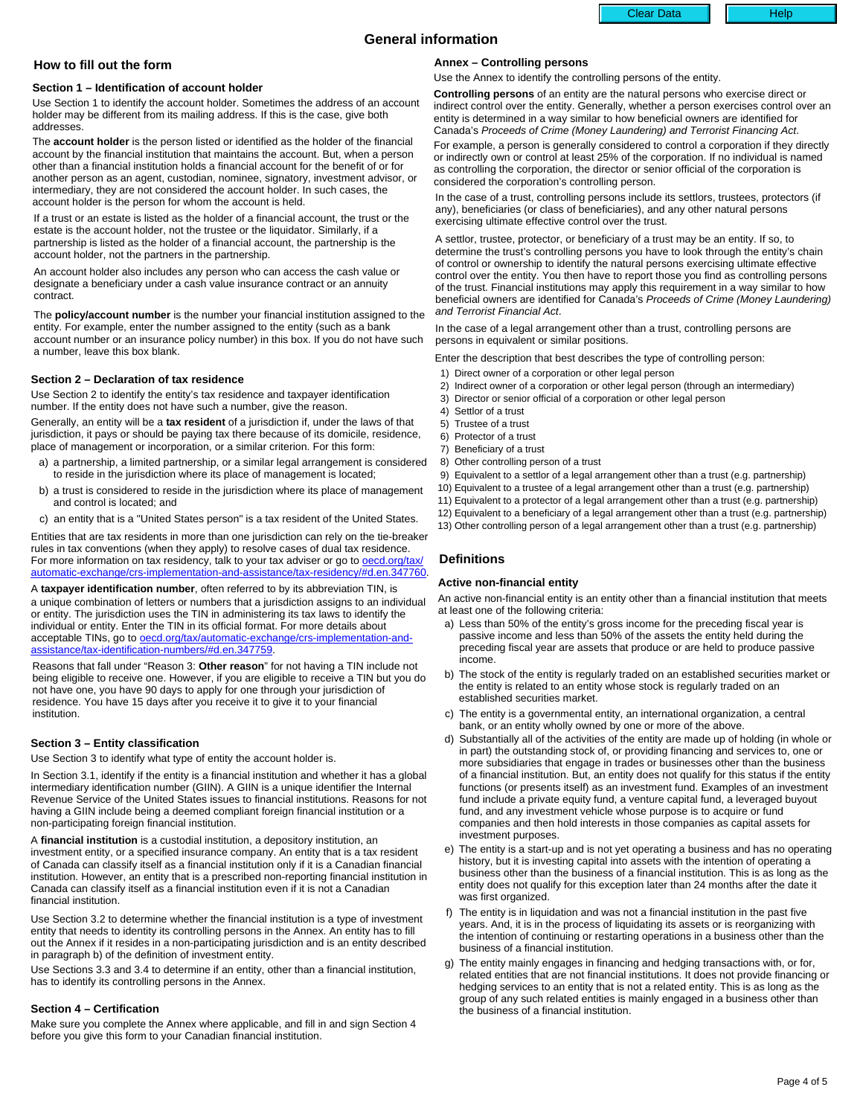# Clear Data | | | Help

# **General information**

# **How to fill out the form**

#### **Section 1 – Identification of account holder**

Use Section 1 to identify the account holder. Sometimes the address of an account holder may be different from its mailing address. If this is the case, give both addresses.

The **account holder** is the person listed or identified as the holder of the financial account by the financial institution that maintains the account. But, when a person other than a financial institution holds a financial account for the benefit of or for another person as an agent, custodian, nominee, signatory, investment advisor, or intermediary, they are not considered the account holder. In such cases, the account holder is the person for whom the account is held.

If a trust or an estate is listed as the holder of a financial account, the trust or the estate is the account holder, not the trustee or the liquidator. Similarly, if a partnership is listed as the holder of a financial account, the partnership is the account holder, not the partners in the partnership.

An account holder also includes any person who can access the cash value or designate a beneficiary under a cash value insurance contract or an annuity contract.

The **policy/account number** is the number your financial institution assigned to the entity. For example, enter the number assigned to the entity (such as a bank account number or an insurance policy number) in this box. If you do not have such a number, leave this box blank.

### **Section 2 – Declaration of tax residence**

Use Section 2 to identify the entity's tax residence and taxpayer identification number. If the entity does not have such a number, give the reason.

Generally, an entity will be a **tax resident** of a jurisdiction if, under the laws of that jurisdiction, it pays or should be paying tax there because of its domicile, residence, place of management or incorporation, or a similar criterion. For this form:

- a) a partnership, a limited partnership, or a similar legal arrangement is considered to reside in the jurisdiction where its place of management is located;
- b) a trust is considered to reside in the jurisdiction where its place of management and control is located; and
- c) an entity that is a "United States person" is a tax resident of the United States.

Entities that are tax residents in more than one jurisdiction can rely on the tie-breaker rules in tax conventions (when they apply) to resolve cases of dual tax residence. For more information on tax residency, talk to your tax adviser or go to **[oecd.org/tax/](http://www.oecd.org/tax/automatic-exchange/crs-implementation-and-assistance/tax-residency/#d.en.347760)** [automatic-exchange/crs-implementation-and-assistance/tax-residency/#d.en.347760.](http://www.oecd.org/tax/automatic-exchange/crs-implementation-and-assistance/tax-residency/#d.en.347760)

A **taxpayer identification number**, often referred to by its abbreviation TIN, is a unique combination of letters or numbers that a jurisdiction assigns to an individual or entity. The jurisdiction uses the TIN in administering its tax laws to identify the individual or entity. Enter the TIN in its official format. For more details about acceptable TINs, go to **oecd.org/tax/automatic-exchange/crs-implementation-and**[assistance/tax-identification-numbers/#d.en.347759](http://www.oecd.org/tax/automatic-exchange/crs-implementation-and-assistance/tax-identification-numbers/#d.en.347759).

Reasons that fall under "Reason 3: **Other reason**" for not having a TIN include not being eligible to receive one. However, if you are eligible to receive a TIN but you do not have one, you have 90 days to apply for one through your jurisdiction of residence. You have 15 days after you receive it to give it to your financial institution.

### **Section 3 – Entity classification**

Use Section 3 to identify what type of entity the account holder is.

In Section 3.1, identify if the entity is a financial institution and whether it has a global intermediary identification number (GIIN). A GIIN is a unique identifier the Internal Revenue Service of the United States issues to financial institutions. Reasons for not having a GIIN include being a deemed compliant foreign financial institution or a non-participating foreign financial institution.

A **financial institution** is a custodial institution, a depository institution, an investment entity, or a specified insurance company. An entity that is a tax resident of Canada can classify itself as a financial institution only if it is a Canadian financial institution. However, an entity that is a prescribed non-reporting financial institution in Canada can classify itself as a financial institution even if it is not a Canadian financial institution.

Use Section 3.2 to determine whether the financial institution is a type of investment entity that needs to identity its controlling persons in the Annex. An entity has to fill out the Annex if it resides in a non-participating jurisdiction and is an entity described in paragraph b) of the definition of investment entity.

Use Sections 3.3 and 3.4 to determine if an entity, other than a financial institution, has to identify its controlling persons in the Annex.

### **Section 4 – Certification**

Make sure you complete the Annex where applicable, and fill in and sign Section 4 before you give this form to your Canadian financial institution.

## **Annex – Controlling persons**

Use the Annex to identify the controlling persons of the entity.

**Controlling persons** of an entity are the natural persons who exercise direct or indirect control over the entity. Generally, whether a person exercises control over an entity is determined in a way similar to how beneficial owners are identified for Canada's Proceeds of Crime (Money Laundering) and Terrorist Financing Act.

For example, a person is generally considered to control a corporation if they directly or indirectly own or control at least 25% of the corporation. If no individual is named as controlling the corporation, the director or senior official of the corporation is considered the corporation's controlling person.

In the case of a trust, controlling persons include its settlors, trustees, protectors (if any), beneficiaries (or class of beneficiaries), and any other natural persons exercising ultimate effective control over the trust.

A settlor, trustee, protector, or beneficiary of a trust may be an entity. If so, to determine the trust's controlling persons you have to look through the entity's chain of control or ownership to identify the natural persons exercising ultimate effective control over the entity. You then have to report those you find as controlling persons of the trust. Financial institutions may apply this requirement in a way similar to how beneficial owners are identified for Canada's Proceeds of Crime (Money Laundering) and Terrorist Financial Act.

In the case of a legal arrangement other than a trust, controlling persons are persons in equivalent or similar positions.

Enter the description that best describes the type of controlling person:

- 1) Direct owner of a corporation or other legal person
- 2) Indirect owner of a corporation or other legal person (through an intermediary)
- 3) Director or senior official of a corporation or other legal person
- 4) Settlor of a trust
- 5) Trustee of a trust
- 6) Protector of a trust
- 7) Beneficiary of a trust
- 8) Other controlling person of a trust
- 9) Equivalent to a settlor of a legal arrangement other than a trust (e.g. partnership)
- 10) Equivalent to a trustee of a legal arrangement other than a trust (e.g. partnership)
- 11) Equivalent to a protector of a legal arrangement other than a trust (e.g. partnership)
- 12) Equivalent to a beneficiary of a legal arrangement other than a trust (e.g. partnership)
- 13) Other controlling person of a legal arrangement other than a trust (e.g. partnership)

# **Definitions**

# **Active non-financial entity**

An active non-financial entity is an entity other than a financial institution that meets at least one of the following criteria:

- a) Less than 50% of the entity's gross income for the preceding fiscal year is passive income and less than 50% of the assets the entity held during the preceding fiscal year are assets that produce or are held to produce passive income.
- b) The stock of the entity is regularly traded on an established securities market or the entity is related to an entity whose stock is regularly traded on an established securities market.
- c) The entity is a governmental entity, an international organization, a central bank, or an entity wholly owned by one or more of the above.
- Substantially all of the activities of the entity are made up of holding (in whole or in part) the outstanding stock of, or providing financing and services to, one or more subsidiaries that engage in trades or businesses other than the business of a financial institution. But, an entity does not qualify for this status if the entity functions (or presents itself) as an investment fund. Examples of an investment fund include a private equity fund, a venture capital fund, a leveraged buyout fund, and any investment vehicle whose purpose is to acquire or fund companies and then hold interests in those companies as capital assets for investment purposes.
- e) The entity is a start-up and is not yet operating a business and has no operating history, but it is investing capital into assets with the intention of operating a business other than the business of a financial institution. This is as long as the entity does not qualify for this exception later than 24 months after the date it was first organized.
- f) The entity is in liquidation and was not a financial institution in the past five years. And, it is in the process of liquidating its assets or is reorganizing with the intention of continuing or restarting operations in a business other than the business of a financial institution.
- g) The entity mainly engages in financing and hedging transactions with, or for, related entities that are not financial institutions. It does not provide financing or hedging services to an entity that is not a related entity. This is as long as the group of any such related entities is mainly engaged in a business other than the business of a financial institution.